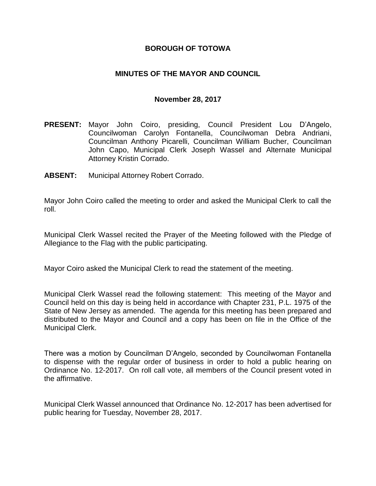### **BOROUGH OF TOTOWA**

## **MINUTES OF THE MAYOR AND COUNCIL**

#### **November 28, 2017**

- **PRESENT:** Mayor John Coiro, presiding, Council President Lou D'Angelo, Councilwoman Carolyn Fontanella, Councilwoman Debra Andriani, Councilman Anthony Picarelli, Councilman William Bucher, Councilman John Capo, Municipal Clerk Joseph Wassel and Alternate Municipal Attorney Kristin Corrado.
- **ABSENT:** Municipal Attorney Robert Corrado.

Mayor John Coiro called the meeting to order and asked the Municipal Clerk to call the roll.

Municipal Clerk Wassel recited the Prayer of the Meeting followed with the Pledge of Allegiance to the Flag with the public participating.

Mayor Coiro asked the Municipal Clerk to read the statement of the meeting.

Municipal Clerk Wassel read the following statement: This meeting of the Mayor and Council held on this day is being held in accordance with Chapter 231, P.L. 1975 of the State of New Jersey as amended. The agenda for this meeting has been prepared and distributed to the Mayor and Council and a copy has been on file in the Office of the Municipal Clerk.

There was a motion by Councilman D'Angelo, seconded by Councilwoman Fontanella to dispense with the regular order of business in order to hold a public hearing on Ordinance No. 12-2017. On roll call vote, all members of the Council present voted in the affirmative.

Municipal Clerk Wassel announced that Ordinance No. 12-2017 has been advertised for public hearing for Tuesday, November 28, 2017.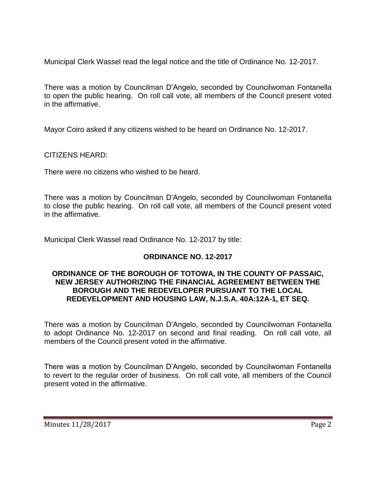Municipal Clerk Wassel read the legal notice and the title of Ordinance No. 12-2017.

There was a motion by Councilman D'Angelo, seconded by Councilwoman Fontanella to open the public hearing. On roll call vote, all members of the Council present voted in the affirmative.

Mayor Coiro asked if any citizens wished to be heard on Ordinance No. 12-2017.

CITIZENS HEARD:

There were no citizens who wished to be heard.

There was a motion by Councilman D'Angelo, seconded by Councilwoman Fontanella to close the public hearing. On roll call vote, all members of the Council present voted in the affirmative.

Municipal Clerk Wassel read Ordinance No. 12-2017 by title:

# **ORDINANCE NO. 12-2017**

#### **ORDINANCE OF THE BOROUGH OF TOTOWA, IN THE COUNTY OF PASSAIC, NEW JERSEY AUTHORIZING THE FINANCIAL AGREEMENT BETWEEN THE BOROUGH AND THE REDEVELOPER PURSUANT TO THE LOCAL REDEVELOPMENT AND HOUSING LAW, N.J.S.A. 40A:12A-1, ET SEQ.**

There was a motion by Councilman D'Angelo, seconded by Councilwoman Fontanella to adopt Ordinance No. 12-2017 on second and final reading. On roll call vote, all members of the Council present voted in the affirmative.

There was a motion by Councilman D'Angelo, seconded by Councilwoman Fontanella to revert to the regular order of business. On roll call vote, all members of the Council present voted in the affirmative.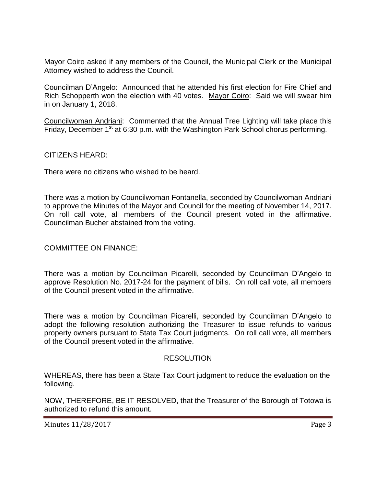Mayor Coiro asked if any members of the Council, the Municipal Clerk or the Municipal Attorney wished to address the Council.

Councilman D'Angelo: Announced that he attended his first election for Fire Chief and Rich Schopperth won the election with 40 votes. Mayor Coiro: Said we will swear him in on January 1, 2018.

Councilwoman Andriani: Commented that the Annual Tree Lighting will take place this Friday, December  $1<sup>st</sup>$  at 6:30 p.m. with the Washington Park School chorus performing.

CITIZENS HEARD:

There were no citizens who wished to be heard.

There was a motion by Councilwoman Fontanella, seconded by Councilwoman Andriani to approve the Minutes of the Mayor and Council for the meeting of November 14, 2017. On roll call vote, all members of the Council present voted in the affirmative. Councilman Bucher abstained from the voting.

## COMMITTEE ON FINANCE:

There was a motion by Councilman Picarelli, seconded by Councilman D'Angelo to approve Resolution No. 2017-24 for the payment of bills. On roll call vote, all members of the Council present voted in the affirmative.

There was a motion by Councilman Picarelli, seconded by Councilman D'Angelo to adopt the following resolution authorizing the Treasurer to issue refunds to various property owners pursuant to State Tax Court judgments. On roll call vote, all members of the Council present voted in the affirmative.

#### RESOLUTION

WHEREAS, there has been a State Tax Court judgment to reduce the evaluation on the following.

NOW, THEREFORE, BE IT RESOLVED, that the Treasurer of the Borough of Totowa is authorized to refund this amount.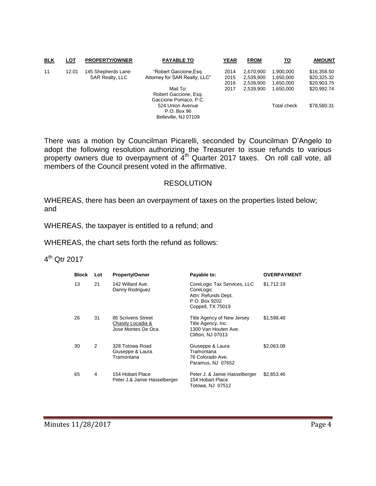| <b>BLK</b> | <b>LOT</b> | <b>PROPERTY/OWNER</b>                        | <b>PAYABLE TO</b>             | YEAR | <b>FROM</b> | то          | <b>AMOUNT</b> |
|------------|------------|----------------------------------------------|-------------------------------|------|-------------|-------------|---------------|
| 11         | 12.01      | 145 Shepherds Lane<br><b>SAR Realty, LLC</b> | "Robert Gaccione, Esq.        | 2014 | 2.670.900   | 1.900.000   | \$16,358.50   |
|            |            |                                              | Attorney for SAR Realty, LLC" | 2015 | 2.539.900   | 1.650.000   | \$20,325.32   |
|            |            |                                              |                               | 2016 | 2.539.900   | 1.650.000   | \$20,903.75   |
|            |            |                                              | Mail To:                      | 2017 | 2.539.900   | 1.650.000   | \$20,992.74   |
|            |            |                                              | Robert Gaccione, Esq.         |      |             |             |               |
|            |            |                                              | Gaccione Pomaco, P.C.         |      |             |             |               |
|            |            |                                              | 524 Union Avenue              |      |             | Total check | \$78,580.31   |
|            |            |                                              | P.O. Box 96                   |      |             |             |               |
|            |            |                                              | Belleville, NJ 07109          |      |             |             |               |

There was a motion by Councilman Picarelli, seconded by Councilman D'Angelo to adopt the following resolution authorizing the Treasurer to issue refunds to various property owners due to overpayment of  $4<sup>th</sup>$  Quarter 2017 taxes. On roll call vote, all members of the Council present voted in the affirmative.

#### RESOLUTION

WHEREAS, there has been an overpayment of taxes on the properties listed below; and

WHEREAS, the taxpayer is entitled to a refund; and

WHEREAS, the chart sets forth the refund as follows:

## 4<sup>th</sup> Qtr 2017

| <b>Block</b> | Lot | <b>Property/Owner</b>                                         | Payable to:                                                                                           | <b>OVERPAYMENT</b> |
|--------------|-----|---------------------------------------------------------------|-------------------------------------------------------------------------------------------------------|--------------------|
| 13           | 21  | 142 Willard Ave.<br>Danny Rodriguez                           | CoreLogic Tax Services, LLC<br>CoreLogic<br>Attn: Refunds Dept.<br>P.O. Box 9202<br>Coppell, TX 75019 | \$1,712.19         |
| 26           | 31  | 85 Scrivens Street<br>Chasity Locadia &<br>Jose Montes De Oca | Title Agency of New Jersey<br>Title Agency, Inc.<br>1300 Van Houten Ave.<br>Clifton, NJ 07013         | \$1,598.48         |
| 30           | 2   | 328 Totowa Road<br>Giuseppe & Laura<br>Tramontana             | Giuseppe & Laura<br>Tramontana<br>76 Colorado Ave.<br>Paramus, NJ 07652                               | \$2,063.08         |
| 65           | 4   | 154 Hobart Place<br>Peter J.& Jamie Hasselberger              | Peter J. & Jamie Hasselberger<br>154 Hobart Place<br>Totowa, NJ 07512                                 | \$2,853.46         |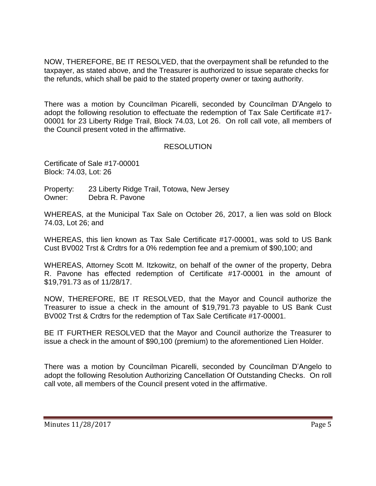NOW, THEREFORE, BE IT RESOLVED, that the overpayment shall be refunded to the taxpayer, as stated above, and the Treasurer is authorized to issue separate checks for the refunds, which shall be paid to the stated property owner or taxing authority.

There was a motion by Councilman Picarelli, seconded by Councilman D'Angelo to adopt the following resolution to effectuate the redemption of Tax Sale Certificate #17- 00001 for 23 Liberty Ridge Trail, Block 74.03, Lot 26. On roll call vote, all members of the Council present voted in the affirmative.

## RESOLUTION

Certificate of Sale #17-00001 Block: 74.03, Lot: 26

Property: 23 Liberty Ridge Trail, Totowa, New Jersey Owner: Debra R. Pavone

WHEREAS, at the Municipal Tax Sale on October 26, 2017, a lien was sold on Block 74.03, Lot 26; and

WHEREAS, this lien known as Tax Sale Certificate #17-00001, was sold to US Bank Cust BV002 Trst & Crdtrs for a 0% redemption fee and a premium of \$90,100; and

WHEREAS, Attorney Scott M. Itzkowitz, on behalf of the owner of the property, Debra R. Pavone has effected redemption of Certificate #17-00001 in the amount of \$19,791.73 as of 11/28/17.

NOW, THEREFORE, BE IT RESOLVED, that the Mayor and Council authorize the Treasurer to issue a check in the amount of \$19,791.73 payable to US Bank Cust BV002 Trst & Crdtrs for the redemption of Tax Sale Certificate #17-00001.

BE IT FURTHER RESOLVED that the Mayor and Council authorize the Treasurer to issue a check in the amount of \$90,100 (premium) to the aforementioned Lien Holder.

There was a motion by Councilman Picarelli, seconded by Councilman D'Angelo to adopt the following Resolution Authorizing Cancellation Of Outstanding Checks. On roll call vote, all members of the Council present voted in the affirmative.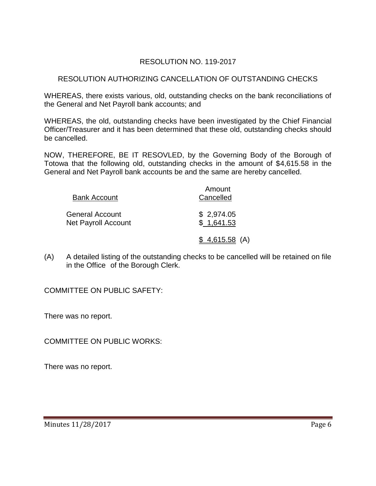# RESOLUTION NO. 119-2017

# RESOLUTION AUTHORIZING CANCELLATION OF OUTSTANDING CHECKS

WHEREAS, there exists various, old, outstanding checks on the bank reconciliations of the General and Net Payroll bank accounts; and

WHEREAS, the old, outstanding checks have been investigated by the Chief Financial Officer/Treasurer and it has been determined that these old, outstanding checks should be cancelled.

NOW, THEREFORE, BE IT RESOVLED, by the Governing Body of the Borough of Totowa that the following old, outstanding checks in the amount of \$4,615.58 in the General and Net Payroll bank accounts be and the same are hereby cancelled.

| <b>Bank Account</b>                    | Amount<br>Cancelled      |  |  |
|----------------------------------------|--------------------------|--|--|
| General Account<br>Net Payroll Account | \$2,974.05<br>\$1,641.53 |  |  |
|                                        | $$4,615.58$ (A)          |  |  |

(A) A detailed listing of the outstanding checks to be cancelled will be retained on file in the Office of the Borough Clerk.

COMMITTEE ON PUBLIC SAFETY:

There was no report.

COMMITTEE ON PUBLIC WORKS:

There was no report.

Minutes 11/28/2017 Page 6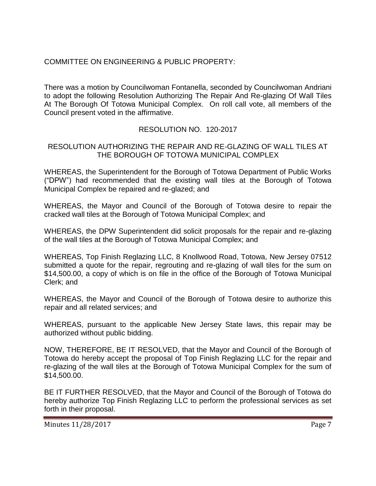## COMMITTEE ON ENGINEERING & PUBLIC PROPERTY:

There was a motion by Councilwoman Fontanella, seconded by Councilwoman Andriani to adopt the following Resolution Authorizing The Repair And Re-glazing Of Wall Tiles At The Borough Of Totowa Municipal Complex. On roll call vote, all members of the Council present voted in the affirmative.

## RESOLUTION NO. 120-2017

## RESOLUTION AUTHORIZING THE REPAIR AND RE-GLAZING OF WALL TILES AT THE BOROUGH OF TOTOWA MUNICIPAL COMPLEX

WHEREAS, the Superintendent for the Borough of Totowa Department of Public Works ("DPW") had recommended that the existing wall tiles at the Borough of Totowa Municipal Complex be repaired and re-glazed; and

WHEREAS, the Mayor and Council of the Borough of Totowa desire to repair the cracked wall tiles at the Borough of Totowa Municipal Complex; and

WHEREAS, the DPW Superintendent did solicit proposals for the repair and re-glazing of the wall tiles at the Borough of Totowa Municipal Complex; and

WHEREAS, Top Finish Reglazing LLC, 8 Knollwood Road, Totowa, New Jersey 07512 submitted a quote for the repair, regrouting and re-glazing of wall tiles for the sum on \$14,500.00, a copy of which is on file in the office of the Borough of Totowa Municipal Clerk; and

WHEREAS, the Mayor and Council of the Borough of Totowa desire to authorize this repair and all related services; and

WHEREAS, pursuant to the applicable New Jersey State laws, this repair may be authorized without public bidding.

NOW, THEREFORE, BE IT RESOLVED, that the Mayor and Council of the Borough of Totowa do hereby accept the proposal of Top Finish Reglazing LLC for the repair and re-glazing of the wall tiles at the Borough of Totowa Municipal Complex for the sum of \$14,500.00.

BE IT FURTHER RESOLVED, that the Mayor and Council of the Borough of Totowa do hereby authorize Top Finish Reglazing LLC to perform the professional services as set forth in their proposal.